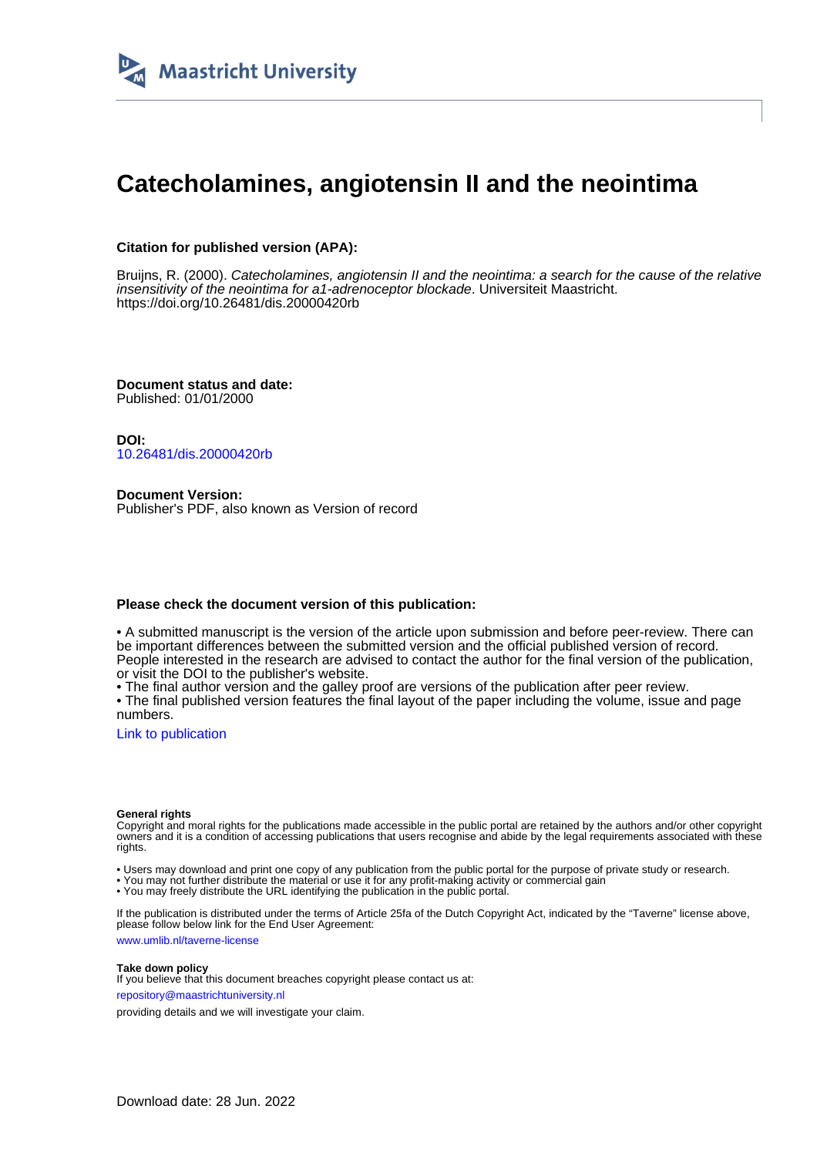

# **Catecholamines, angiotensin II and the neointima**

## **Citation for published version (APA):**

Bruijns, R. (2000). Catecholamines, angiotensin II and the neointima: a search for the cause of the relative insensitivity of the neointima for a1-adrenoceptor blockade. Universiteit Maastricht. <https://doi.org/10.26481/dis.20000420rb>

**Document status and date:** Published: 01/01/2000

**DOI:** [10.26481/dis.20000420rb](https://doi.org/10.26481/dis.20000420rb)

**Document Version:** Publisher's PDF, also known as Version of record

### **Please check the document version of this publication:**

• A submitted manuscript is the version of the article upon submission and before peer-review. There can be important differences between the submitted version and the official published version of record. People interested in the research are advised to contact the author for the final version of the publication, or visit the DOI to the publisher's website.

• The final author version and the galley proof are versions of the publication after peer review.

• The final published version features the final layout of the paper including the volume, issue and page numbers.

[Link to publication](https://cris.maastrichtuniversity.nl/en/publications/4589d637-2435-49f7-bba8-6bafa1012960)

#### **General rights**

Copyright and moral rights for the publications made accessible in the public portal are retained by the authors and/or other copyright owners and it is a condition of accessing publications that users recognise and abide by the legal requirements associated with these rights.

• Users may download and print one copy of any publication from the public portal for the purpose of private study or research.

• You may not further distribute the material or use it for any profit-making activity or commercial gain

• You may freely distribute the URL identifying the publication in the public portal.

If the publication is distributed under the terms of Article 25fa of the Dutch Copyright Act, indicated by the "Taverne" license above, please follow below link for the End User Agreement:

www.umlib.nl/taverne-license

#### **Take down policy**

If you believe that this document breaches copyright please contact us at: repository@maastrichtuniversity.nl

providing details and we will investigate your claim.